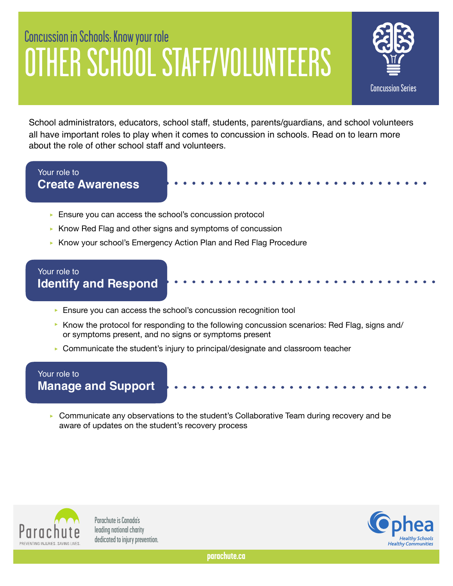# Concussion in Schools: Know your role OTHER SCHOOL STAFF/VOLUNTEERS



School administrators, educators, school staff, students, parents/guardians, and school volunteers all have important roles to play when it comes to concussion in schools. Read on to learn more about the role of other school staff and volunteers.

### Your role to **Create Awareness**

- ► Ensure you can access the school's concussion protocol
- ► Know Red Flag and other signs and symptoms of concussion
- ‣ Know your school's Emergency Action Plan and Red Flag Procedure

#### Your role to **Identify and Respond**

- ► Ensure you can access the school's concussion recognition tool
- ▶ Know the protocol for responding to the following concussion scenarios: Red Flag, signs and/ or symptoms present, and no signs or symptoms present
- ▶ Communicate the student's injury to principal/designate and classroom teacher

#### Your role to **Manage and Support**

► Communicate any observations to the student's Collaborative Team during recovery and be aware of updates on the student's recovery process



Parachute is Canada's leading national charity dedicated to injury prevention.